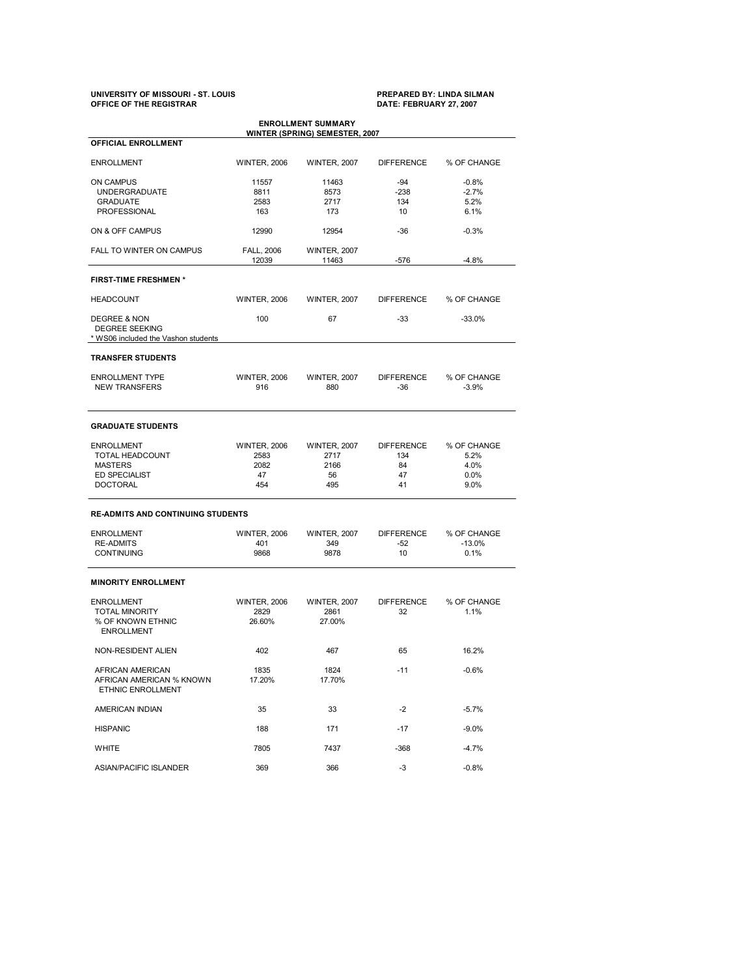# **UNIVERSITY OF MISSOURI ST. LOUIS PREPARED BY: LINDA SILMAN OFFICE OF THE REGISTRAR DATE: FEBRUARY 27, 2007**

| <b>OFFICIAL ENROLLMENT</b>                                        |                     |                     |                   |             |
|-------------------------------------------------------------------|---------------------|---------------------|-------------------|-------------|
| <b>ENROLLMENT</b>                                                 | <b>WINTER, 2006</b> | <b>WINTER, 2007</b> | <b>DIFFERENCE</b> | % OF CHANGE |
| ON CAMPUS                                                         | 11557               | 11463               | -94               | $-0.8%$     |
|                                                                   |                     |                     |                   |             |
| <b>UNDERGRADUATE</b>                                              | 8811                | 8573                | $-238$            | $-2.7%$     |
| <b>GRADUATE</b>                                                   | 2583                | 2717                | 134               | 5.2%        |
| PROFESSIONAL                                                      | 163                 | 173                 | 10                | 6.1%        |
| ON & OFF CAMPUS                                                   | 12990               | 12954               | $-36$             | $-0.3%$     |
| <b>FALL TO WINTER ON CAMPUS</b>                                   | <b>FALL, 2006</b>   | <b>WINTER, 2007</b> |                   |             |
|                                                                   | 12039               | 11463               | $-576$            | $-4.8%$     |
| <b>FIRST-TIME FRESHMEN*</b>                                       |                     |                     |                   |             |
| <b>HEADCOUNT</b>                                                  | <b>WINTER, 2006</b> | <b>WINTER, 2007</b> | <b>DIFFERENCE</b> | % OF CHANGE |
| DEGREE & NON                                                      | 100                 | 67                  | $-33$             | $-33.0%$    |
| <b>DEGREE SEEKING</b>                                             |                     |                     |                   |             |
| * WS06 included the Vashon students                               |                     |                     |                   |             |
| <b>TRANSFER STUDENTS</b>                                          |                     |                     |                   |             |
| <b>ENROLLMENT TYPE</b>                                            | <b>WINTER, 2006</b> | <b>WINTER, 2007</b> | <b>DIFFERENCE</b> | % OF CHANGE |
| <b>NEW TRANSFERS</b>                                              | 916                 | 880                 | -36               | $-3.9%$     |
|                                                                   |                     |                     |                   |             |
| <b>GRADUATE STUDENTS</b>                                          |                     |                     |                   |             |
| <b>ENROLLMENT</b>                                                 | <b>WINTER, 2006</b> | <b>WINTER, 2007</b> | <b>DIFFERENCE</b> | % OF CHANGE |
| TOTAL HEADCOUNT                                                   | 2583                | 2717                | 134               | 5.2%        |
| <b>MASTERS</b>                                                    | 2082                | 2166                | 84                | 4.0%        |
| <b>ED SPECIALIST</b>                                              | 47                  | 56                  | 47                | 0.0%        |
| <b>DOCTORAL</b>                                                   | 454                 | 495                 | 41                | 9.0%        |
| <b>RE-ADMITS AND CONTINUING STUDENTS</b>                          |                     |                     |                   |             |
| <b>ENROLLMENT</b>                                                 | <b>WINTER, 2006</b> | <b>WINTER, 2007</b> | <b>DIFFERENCE</b> | % OF CHANGE |
| <b>RE-ADMITS</b>                                                  | 401                 | 349                 | -52               | $-13.0%$    |
| <b>CONTINUING</b>                                                 | 9868                | 9878                | 10                | 0.1%        |
| <b>MINORITY ENROLLMENT</b>                                        |                     |                     |                   |             |
| <b>ENROLLMENT</b>                                                 | <b>WINTER, 2006</b> | <b>WINTER, 2007</b> | <b>DIFFERENCE</b> | % OF CHANGE |
|                                                                   |                     |                     |                   | 1.1%        |
|                                                                   |                     |                     |                   |             |
| <b>TOTAL MINORITY</b>                                             | 2829                | 2861                | 32                |             |
| % OF KNOWN ETHNIC<br><b>ENROLLMENT</b>                            | 26.60%              | 27.00%              |                   |             |
| NON-RESIDENT ALIEN                                                | 402                 | 467                 | 65                | 16.2%       |
|                                                                   | 1835                | 1824                |                   |             |
| AFRICAN AMERICAN<br>AFRICAN AMERICAN % KNOWN<br>ETHNIC ENROLLMENT | 17.20%              | 17.70%              | -11               | $-0.6%$     |
| AMERICAN INDIAN                                                   | 35                  | 33                  | -2                | $-5.7%$     |
| <b>HISPANIC</b>                                                   | 188                 | 171                 | -17               | $-9.0%$     |
| <b>WHITE</b>                                                      | 7805                | 7437                | $-368$            | $-4.7%$     |
| <b>ASIAN/PACIFIC ISLANDER</b>                                     | 369                 | 366                 | -3                | $-0.8%$     |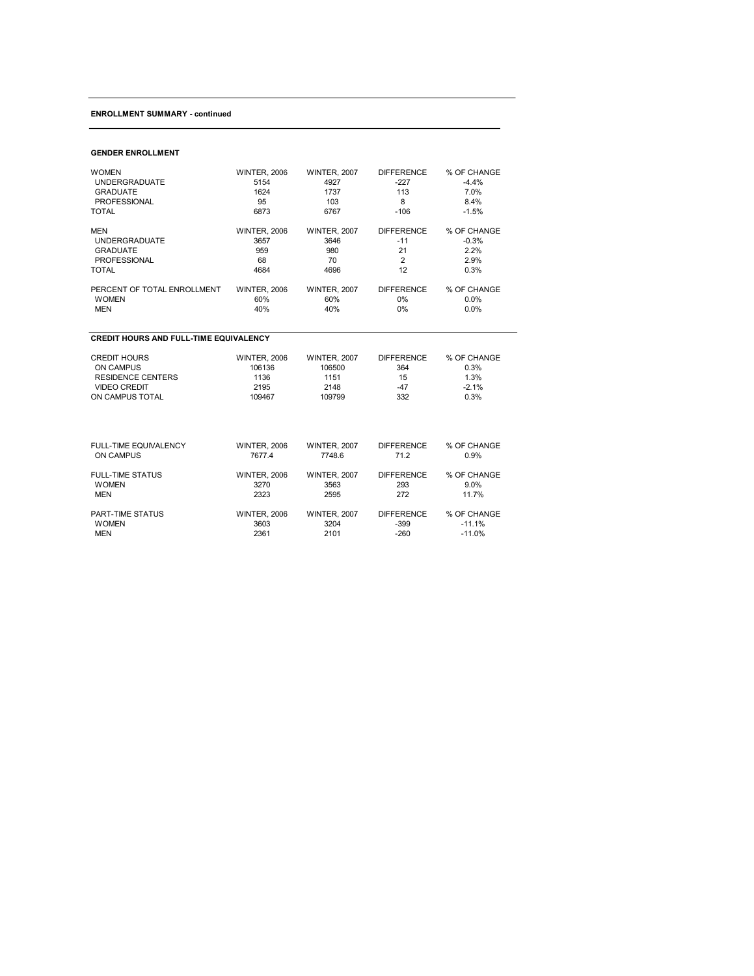# **ENROLLMENT SUMMARY continued**

### **GENDER ENROLLMENT**

| <b>WOMEN</b>                                  | <b>WINTER, 2006</b> | <b>WINTER, 2007</b> | <b>DIFFERENCE</b> | % OF CHANGE |
|-----------------------------------------------|---------------------|---------------------|-------------------|-------------|
| <b>UNDERGRADUATE</b>                          | 5154                | 4927                | $-227$            | $-4.4%$     |
| <b>GRADUATE</b>                               | 1624                | 1737                | 113               | 7.0%        |
| PROFESSIONAL                                  | 95                  | 103                 | 8                 | 8.4%        |
| TOTAL                                         | 6873                | 6767                | $-106$            | $-1.5%$     |
| <b>MEN</b>                                    | <b>WINTER, 2006</b> | <b>WINTER, 2007</b> | <b>DIFFERENCE</b> | % OF CHANGE |
| <b>UNDERGRADUATE</b>                          | 3657                | 3646                | $-11$             | $-0.3%$     |
| <b>GRADUATE</b>                               | 959                 | 980                 | 21                | 2.2%        |
| PROFESSIONAL                                  | 68                  | 70                  | $\overline{2}$    | 2.9%        |
| <b>TOTAL</b>                                  | 4684                | 4696                | 12                | 0.3%        |
| PERCENT OF TOTAL ENROLLMENT                   | <b>WINTER, 2006</b> | <b>WINTER, 2007</b> | <b>DIFFERENCE</b> | % OF CHANGE |
| <b>WOMEN</b>                                  | 60%                 | 60%                 | 0%                | 0.0%        |
| <b>MEN</b>                                    | 40%                 | 40%                 | $0\%$             | 0.0%        |
| <b>CREDIT HOURS AND FULL-TIME EQUIVALENCY</b> |                     |                     |                   |             |
| <b>CREDIT HOURS</b>                           | <b>WINTER, 2006</b> | <b>WINTER, 2007</b> | <b>DIFFERENCE</b> | % OF CHANGE |
| <b>ON CAMPUS</b>                              | 106136              | 106500              | 364               | 0.3%        |
| <b>RESIDENCE CENTERS</b>                      | 1136                | 1151                | 15                | 1.3%        |
| <b>VIDEO CREDIT</b>                           | 2195                | 2148                | $-47$             | $-2.1%$     |
| ON CAMPUS TOTAL                               | 109467              | 109799              | 332               | 0.3%        |
| <b>FULL-TIME EQUIVALENCY</b>                  | <b>WINTER, 2006</b> | <b>WINTER, 2007</b> | <b>DIFFERENCE</b> | % OF CHANGE |
| <b>ON CAMPUS</b>                              | 7677.4              | 7748.6              | 71.2              | 0.9%        |
| <b>FULL-TIME STATUS</b>                       | <b>WINTER, 2006</b> | <b>WINTER, 2007</b> | <b>DIFFERENCE</b> | % OF CHANGE |
| <b>WOMEN</b>                                  | 3270                | 3563                | 293               | 9.0%        |
| <b>MEN</b>                                    | 2323                | 2595                | 272               | 11.7%       |

| PART-TIME STATUS | <b>WINTER, 2006</b> | <b>WINTER, 2007</b> | <b>DIFFERENCE</b> | % OF CHANGE |  |
|------------------|---------------------|---------------------|-------------------|-------------|--|
| <b>WOMEN</b>     | 3603                | 3204                | -399              | $-11.1%$    |  |
| MEN              | 2361                | 2101                | -260              | $-11.0%$    |  |